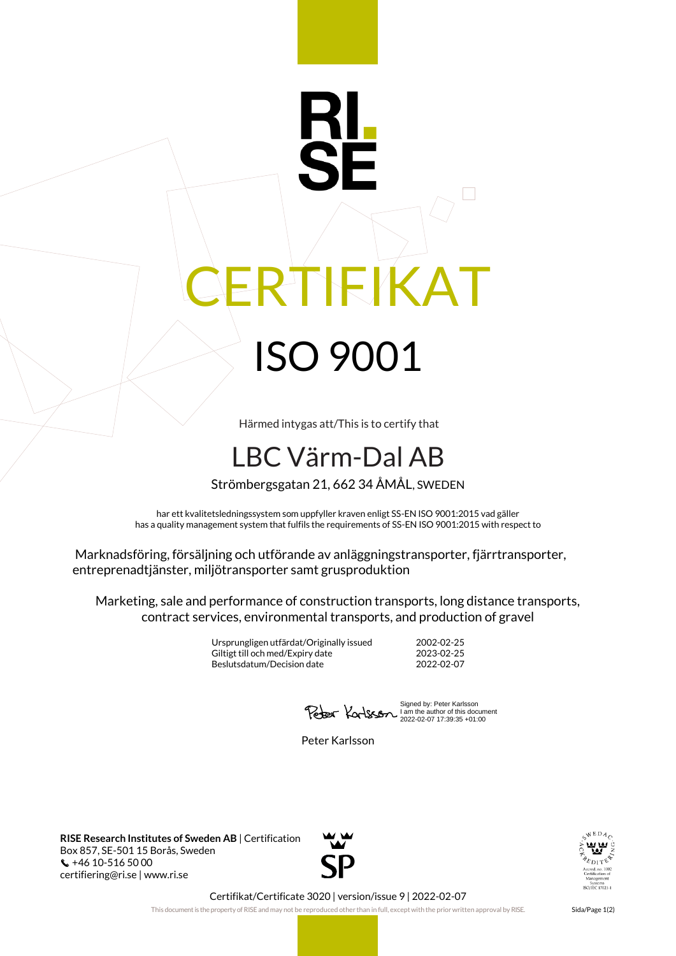## IEIKAT ISO 9001

Härmed intygas att/This is to certify that

## LBC Värm-Dal AB

Strömbergsgatan 21, 662 34 ÅMÅL, SWEDEN

har ett kvalitetsledningssystem som uppfyller kraven enligt SS-EN ISO 9001:2015 vad gäller has a quality management system that fulfils the requirements of SS-EN ISO 9001:2015 with respect to

Marknadsföring, försäljning och utförande av anläggningstransporter, fjärrtransporter, entreprenadtjänster, miljötransporter samt grusproduktion

Marketing, sale and performance of construction transports, long distance transports, contract services, environmental transports, and production of gravel

> Ursprungligen utfärdat/Originally issued 2002-02-25 Giltigt till och med/Expiry date 2023-02-25<br>Beslutsdatum/Decision date 2022-02-07 Beslutsdatum/Decision date

Signed by: Peter Karlsson I am the author of this document 2022-02-07 17:39:35 +01:00

Peter Karlsson

**RISE Research Institutes of Sweden AB** | Certification Box 857, SE-501 15 Borås, Sweden +46 10-516 50 00 certifiering@ri.se | www.ri.se





Certifikat/Certificate 3020 | version/issue 9 | 2022-02-07

This document is the property of RISE and may not be reproduced other than in full, except with the prior written approval by RISE. Sida/Page 1(2)